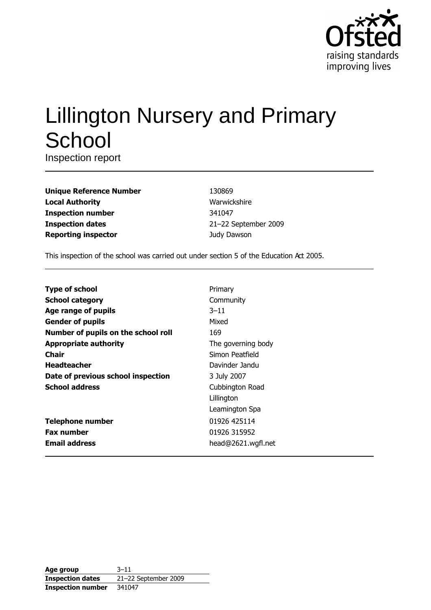

# **Lillington Nursery and Primary** School

Inspection report

| <b>Unique Reference Number</b> |
|--------------------------------|
| <b>Local Authority</b>         |
| <b>Inspection number</b>       |
| <b>Inspection dates</b>        |
| <b>Reporting inspector</b>     |

130869 Warwickshire 341047 21-22 September 2009 Judy Dawson

This inspection of the school was carried out under section 5 of the Education Act 2005.

| <b>Type of school</b>               | Primary            |
|-------------------------------------|--------------------|
| <b>School category</b>              | Community          |
| Age range of pupils                 | $3 - 11$           |
| <b>Gender of pupils</b>             | Mixed              |
| Number of pupils on the school roll | 169                |
| <b>Appropriate authority</b>        | The governing body |
| Chair                               | Simon Peatfield    |
| <b>Headteacher</b>                  | Davinder Jandu     |
| Date of previous school inspection  | 3 July 2007        |
| <b>School address</b>               | Cubbington Road    |
|                                     | Lillington         |
|                                     | Leamington Spa     |
| <b>Telephone number</b>             | 01926 425114       |
| <b>Fax number</b>                   | 01926 315952       |
| <b>Email address</b>                | head@2621.wgfl.net |

| Age group                | $3 - 11$             |
|--------------------------|----------------------|
| <b>Inspection dates</b>  | 21-22 September 2009 |
| <b>Inspection number</b> | 341047               |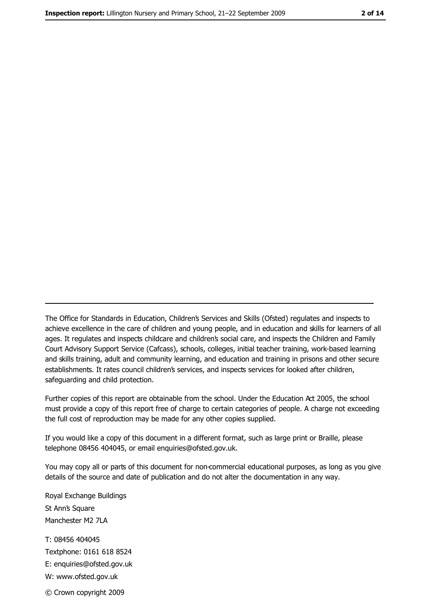The Office for Standards in Education, Children's Services and Skills (Ofsted) regulates and inspects to achieve excellence in the care of children and young people, and in education and skills for learners of all ages. It regulates and inspects childcare and children's social care, and inspects the Children and Family Court Advisory Support Service (Cafcass), schools, colleges, initial teacher training, work-based learning and skills training, adult and community learning, and education and training in prisons and other secure establishments. It rates council children's services, and inspects services for looked after children, safequarding and child protection.

Further copies of this report are obtainable from the school. Under the Education Act 2005, the school must provide a copy of this report free of charge to certain categories of people. A charge not exceeding the full cost of reproduction may be made for any other copies supplied.

If you would like a copy of this document in a different format, such as large print or Braille, please telephone 08456 404045, or email enquiries@ofsted.gov.uk.

You may copy all or parts of this document for non-commercial educational purposes, as long as you give details of the source and date of publication and do not alter the documentation in any way.

Royal Exchange Buildings St Ann's Square Manchester M2 7LA T: 08456 404045 Textphone: 0161 618 8524 E: enquiries@ofsted.gov.uk W: www.ofsted.gov.uk © Crown copyright 2009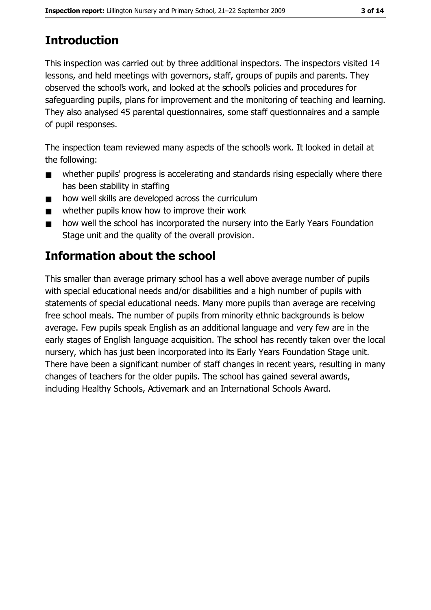# **Introduction**

This inspection was carried out by three additional inspectors. The inspectors visited 14 lessons, and held meetings with governors, staff, groups of pupils and parents. They observed the school's work, and looked at the school's policies and procedures for safeguarding pupils, plans for improvement and the monitoring of teaching and learning. They also analysed 45 parental questionnaires, some staff questionnaires and a sample of pupil responses.

The inspection team reviewed many aspects of the school's work. It looked in detail at the following:

- whether pupils' progress is accelerating and standards rising especially where there  $\blacksquare$ has been stability in staffing
- how well skills are developed across the curriculum  $\blacksquare$
- whether pupils know how to improve their work  $\blacksquare$
- how well the school has incorporated the nursery into the Early Years Foundation  $\blacksquare$ Stage unit and the quality of the overall provision.

# **Information about the school**

This smaller than average primary school has a well above average number of pupils with special educational needs and/or disabilities and a high number of pupils with statements of special educational needs. Many more pupils than average are receiving free school meals. The number of pupils from minority ethnic backgrounds is below average. Few pupils speak English as an additional language and very few are in the early stages of English language acquisition. The school has recently taken over the local nursery, which has just been incorporated into its Early Years Foundation Stage unit. There have been a significant number of staff changes in recent years, resulting in many changes of teachers for the older pupils. The school has gained several awards, including Healthy Schools, Activemark and an International Schools Award.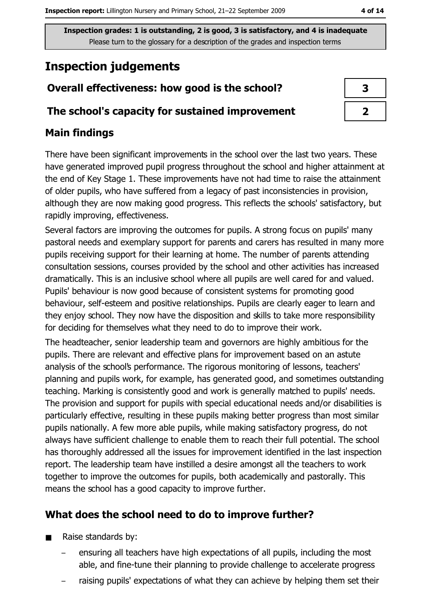# **Inspection judgements**

## Overall effectiveness: how good is the school?

#### The school's capacity for sustained improvement

## **Main findings**

There have been significant improvements in the school over the last two years. These have generated improved pupil progress throughout the school and higher attainment at the end of Key Stage 1. These improvements have not had time to raise the attainment of older pupils, who have suffered from a legacy of past inconsistencies in provision, although they are now making good progress. This reflects the schools' satisfactory, but rapidly improving, effectiveness.

Several factors are improving the outcomes for pupils. A strong focus on pupils' many pastoral needs and exemplary support for parents and carers has resulted in many more pupils receiving support for their learning at home. The number of parents attending consultation sessions, courses provided by the school and other activities has increased dramatically. This is an inclusive school where all pupils are well cared for and valued. Pupils' behaviour is now good because of consistent systems for promoting good behaviour, self-esteem and positive relationships. Pupils are clearly eager to learn and they enjoy school. They now have the disposition and skills to take more responsibility for deciding for themselves what they need to do to improve their work.

The headteacher, senior leadership team and governors are highly ambitious for the pupils. There are relevant and effective plans for improvement based on an astute analysis of the school's performance. The rigorous monitoring of lessons, teachers' planning and pupils work, for example, has generated good, and sometimes outstanding teaching. Marking is consistently good and work is generally matched to pupils' needs. The provision and support for pupils with special educational needs and/or disabilities is particularly effective, resulting in these pupils making better progress than most similar pupils nationally. A few more able pupils, while making satisfactory progress, do not always have sufficient challenge to enable them to reach their full potential. The school has thoroughly addressed all the issues for improvement identified in the last inspection report. The leadership team have instilled a desire amongst all the teachers to work together to improve the outcomes for pupils, both academically and pastorally. This means the school has a good capacity to improve further.

## What does the school need to do to improve further?

- Raise standards by:  $\blacksquare$ 
	- ensuring all teachers have high expectations of all pupils, including the most able, and fine-tune their planning to provide challenge to accelerate progress
	- raising pupils' expectations of what they can achieve by helping them set their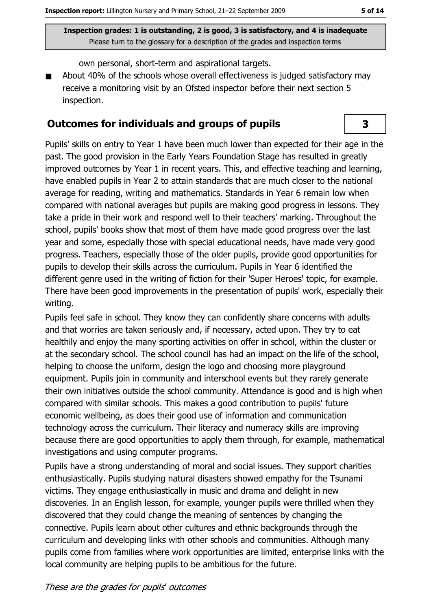3

Inspection grades: 1 is outstanding, 2 is good, 3 is satisfactory, and 4 is inadequate Please turn to the glossary for a description of the grades and inspection terms

own personal, short-term and aspirational targets.

About 40% of the schools whose overall effectiveness is judged satisfactory may receive a monitoring visit by an Ofsted inspector before their next section 5 inspection.

#### **Outcomes for individuals and groups of pupils**

Pupils' skills on entry to Year 1 have been much lower than expected for their age in the past. The good provision in the Early Years Foundation Stage has resulted in greatly improved outcomes by Year 1 in recent years. This, and effective teaching and learning, have enabled pupils in Year 2 to attain standards that are much closer to the national average for reading, writing and mathematics. Standards in Year 6 remain low when compared with national averages but pupils are making good progress in lessons. They take a pride in their work and respond well to their teachers' marking. Throughout the school, pupils' books show that most of them have made good progress over the last year and some, especially those with special educational needs, have made very good progress. Teachers, especially those of the older pupils, provide good opportunities for pupils to develop their skills across the curriculum. Pupils in Year 6 identified the different genre used in the writing of fiction for their 'Super Heroes' topic, for example. There have been good improvements in the presentation of pupils' work, especially their writing.

Pupils feel safe in school. They know they can confidently share concerns with adults and that worries are taken seriously and, if necessary, acted upon. They try to eat healthily and enjoy the many sporting activities on offer in school, within the cluster or at the secondary school. The school council has had an impact on the life of the school, helping to choose the uniform, design the logo and choosing more playground equipment. Pupils join in community and interschool events but they rarely generate their own initiatives outside the school community. Attendance is good and is high when compared with similar schools. This makes a good contribution to pupils' future economic wellbeing, as does their good use of information and communication technology across the curriculum. Their literacy and numeracy skills are improving because there are good opportunities to apply them through, for example, mathematical investigations and using computer programs.

Pupils have a strong understanding of moral and social issues. They support charities enthusiastically. Pupils studying natural disasters showed empathy for the Tsunami victims. They engage enthusiastically in music and drama and delight in new discoveries. In an English lesson, for example, younger pupils were thrilled when they discovered that they could change the meaning of sentences by changing the connective. Pupils learn about other cultures and ethnic backgrounds through the curriculum and developing links with other schools and communities. Although many pupils come from families where work opportunities are limited, enterprise links with the local community are helping pupils to be ambitious for the future.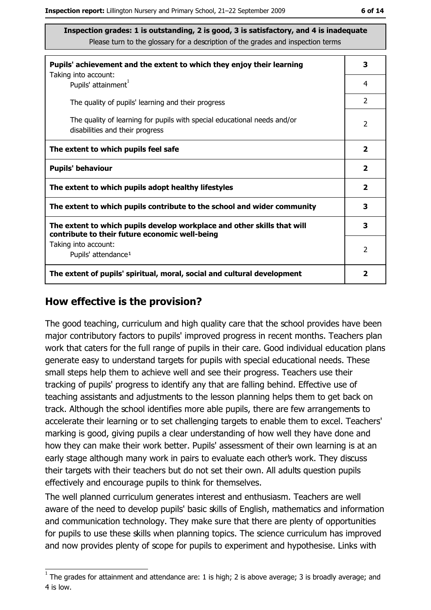| Pupils' achievement and the extent to which they enjoy their learning                                                     |                         |  |
|---------------------------------------------------------------------------------------------------------------------------|-------------------------|--|
| Taking into account:<br>Pupils' attainment <sup>1</sup>                                                                   | 4                       |  |
| The quality of pupils' learning and their progress                                                                        | $\mathcal{P}$           |  |
| The quality of learning for pupils with special educational needs and/or<br>disabilities and their progress               | $\overline{2}$          |  |
| The extent to which pupils feel safe                                                                                      | $\overline{\mathbf{2}}$ |  |
| <b>Pupils' behaviour</b>                                                                                                  | $\overline{\mathbf{2}}$ |  |
| The extent to which pupils adopt healthy lifestyles                                                                       | $\overline{\mathbf{2}}$ |  |
| The extent to which pupils contribute to the school and wider community                                                   |                         |  |
| The extent to which pupils develop workplace and other skills that will<br>contribute to their future economic well-being |                         |  |
| Taking into account:<br>Pupils' attendance <sup>1</sup>                                                                   | $\mathcal{P}$           |  |
| The extent of pupils' spiritual, moral, social and cultural development                                                   | 2                       |  |

#### How effective is the provision?

The good teaching, curriculum and high quality care that the school provides have been major contributory factors to pupils' improved progress in recent months. Teachers plan work that caters for the full range of pupils in their care. Good individual education plans generate easy to understand targets for pupils with special educational needs. These small steps help them to achieve well and see their progress. Teachers use their tracking of pupils' progress to identify any that are falling behind. Effective use of teaching assistants and adjustments to the lesson planning helps them to get back on track. Although the school identifies more able pupils, there are few arrangements to accelerate their learning or to set challenging targets to enable them to excel. Teachers' marking is good, giving pupils a clear understanding of how well they have done and how they can make their work better. Pupils' assessment of their own learning is at an early stage although many work in pairs to evaluate each other's work. They discuss their targets with their teachers but do not set their own. All adults question pupils effectively and encourage pupils to think for themselves.

The well planned curriculum generates interest and enthusiasm. Teachers are well aware of the need to develop pupils' basic skills of English, mathematics and information and communication technology. They make sure that there are plenty of opportunities for pupils to use these skills when planning topics. The science curriculum has improved and now provides plenty of scope for pupils to experiment and hypothesise. Links with

 $1$  The grades for attainment and attendance are: 1 is high; 2 is above average; 3 is broadly average; and 4 is low.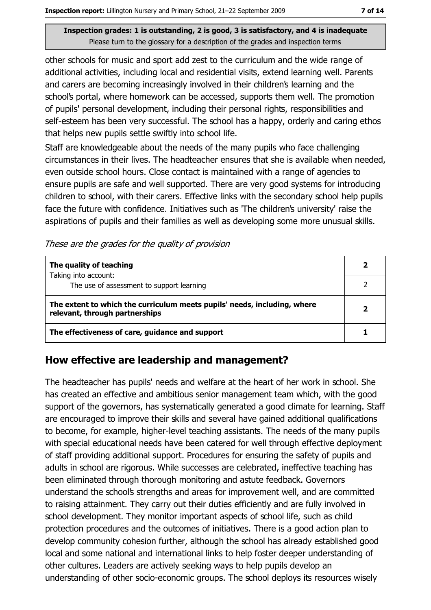other schools for music and sport add zest to the curriculum and the wide range of additional activities, including local and residential visits, extend learning well. Parents and carers are becoming increasingly involved in their children's learning and the school's portal, where homework can be accessed, supports them well. The promotion of pupils' personal development, including their personal rights, responsibilities and self-esteem has been very successful. The school has a happy, orderly and caring ethos that helps new pupils settle swiftly into school life.

Staff are knowledgeable about the needs of the many pupils who face challenging circumstances in their lives. The headteacher ensures that she is available when needed, even outside school hours. Close contact is maintained with a range of agencies to ensure pupils are safe and well supported. There are very good systems for introducing children to school, with their carers. Effective links with the secondary school help pupils face the future with confidence. Initiatives such as The children's university' raise the aspirations of pupils and their families as well as developing some more unusual skills.

These are the grades for the quality of provision

| The quality of teaching                                                                                    |  |
|------------------------------------------------------------------------------------------------------------|--|
| Taking into account:<br>The use of assessment to support learning                                          |  |
| The extent to which the curriculum meets pupils' needs, including, where<br>relevant, through partnerships |  |
| The effectiveness of care, guidance and support                                                            |  |

## How effective are leadership and management?

The headteacher has pupils' needs and welfare at the heart of her work in school. She has created an effective and ambitious senior management team which, with the good support of the governors, has systematically generated a good climate for learning. Staff are encouraged to improve their skills and several have gained additional qualifications to become, for example, higher-level teaching assistants. The needs of the many pupils with special educational needs have been catered for well through effective deployment of staff providing additional support. Procedures for ensuring the safety of pupils and adults in school are rigorous. While successes are celebrated, ineffective teaching has been eliminated through thorough monitoring and astute feedback. Governors understand the school's strengths and areas for improvement well, and are committed to raising attainment. They carry out their duties efficiently and are fully involved in school development. They monitor important aspects of school life, such as child protection procedures and the outcomes of initiatives. There is a good action plan to develop community cohesion further, although the school has already established good local and some national and international links to help foster deeper understanding of other cultures. Leaders are actively seeking ways to help pupils develop an understanding of other socio-economic groups. The school deploys its resources wisely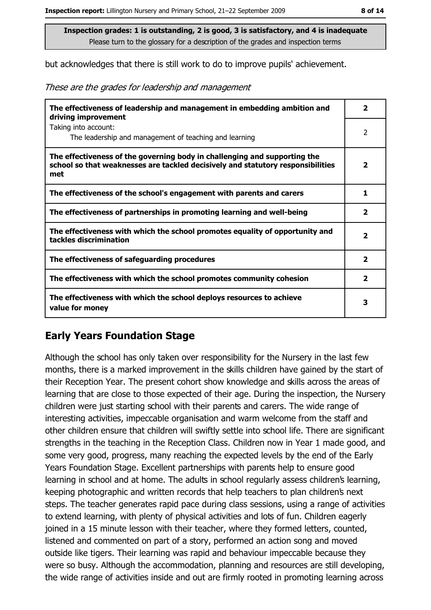but acknowledges that there is still work to do to improve pupils' achievement.

These are the grades for leadership and management

| The effectiveness of leadership and management in embedding ambition and<br>driving improvement                                                                     | $\overline{\phantom{a}}$ |
|---------------------------------------------------------------------------------------------------------------------------------------------------------------------|--------------------------|
| Taking into account:<br>The leadership and management of teaching and learning                                                                                      | 2                        |
| The effectiveness of the governing body in challenging and supporting the<br>school so that weaknesses are tackled decisively and statutory responsibilities<br>met | $\overline{\mathbf{2}}$  |
| The effectiveness of the school's engagement with parents and carers                                                                                                | 1                        |
| The effectiveness of partnerships in promoting learning and well-being                                                                                              | 2                        |
| The effectiveness with which the school promotes equality of opportunity and<br>tackles discrimination                                                              | $\overline{\mathbf{2}}$  |
| The effectiveness of safeguarding procedures                                                                                                                        | $\overline{\mathbf{2}}$  |
| The effectiveness with which the school promotes community cohesion                                                                                                 | $\overline{\mathbf{2}}$  |
| The effectiveness with which the school deploys resources to achieve<br>value for money                                                                             | з                        |

#### **Early Years Foundation Stage**

Although the school has only taken over responsibility for the Nursery in the last few months, there is a marked improvement in the skills children have gained by the start of their Reception Year. The present cohort show knowledge and skills across the areas of learning that are close to those expected of their age. During the inspection, the Nursery children were just starting school with their parents and carers. The wide range of interesting activities, impeccable organisation and warm welcome from the staff and other children ensure that children will swiftly settle into school life. There are significant strengths in the teaching in the Reception Class. Children now in Year 1 made good, and some very good, progress, many reaching the expected levels by the end of the Early Years Foundation Stage. Excellent partnerships with parents help to ensure good learning in school and at home. The adults in school regularly assess children's learning, keeping photographic and written records that help teachers to plan children's next steps. The teacher generates rapid pace during class sessions, using a range of activities to extend learning, with plenty of physical activities and lots of fun. Children eagerly joined in a 15 minute lesson with their teacher, where they formed letters, counted, listened and commented on part of a story, performed an action song and moved outside like tigers. Their learning was rapid and behaviour impeccable because they were so busy. Although the accommodation, planning and resources are still developing, the wide range of activities inside and out are firmly rooted in promoting learning across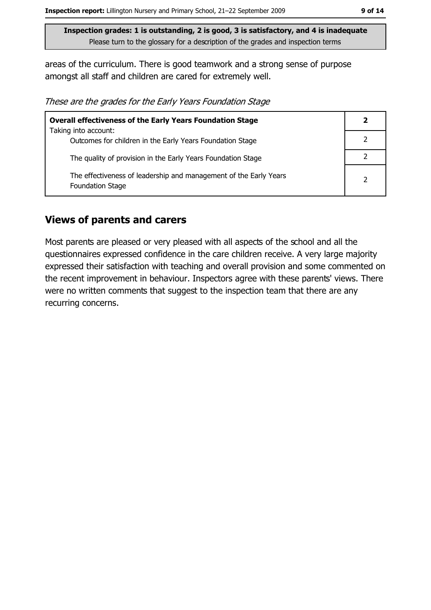areas of the curriculum. There is good teamwork and a strong sense of purpose amongst all staff and children are cared for extremely well.

These are the grades for the Early Years Foundation Stage

| <b>Overall effectiveness of the Early Years Foundation Stage</b>                      |               |  |
|---------------------------------------------------------------------------------------|---------------|--|
| Taking into account:<br>Outcomes for children in the Early Years Foundation Stage     |               |  |
| The quality of provision in the Early Years Foundation Stage                          |               |  |
| The effectiveness of leadership and management of the Early Years<br>Foundation Stage | $\mathcal{P}$ |  |

#### **Views of parents and carers**

Most parents are pleased or very pleased with all aspects of the school and all the questionnaires expressed confidence in the care children receive. A very large majority expressed their satisfaction with teaching and overall provision and some commented on the recent improvement in behaviour. Inspectors agree with these parents' views. There were no written comments that suggest to the inspection team that there are any recurring concerns.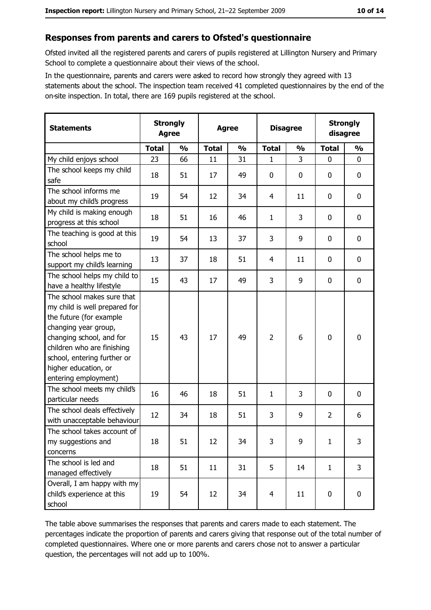#### Responses from parents and carers to Ofsted's questionnaire

Ofsted invited all the registered parents and carers of pupils registered at Lillington Nursery and Primary School to complete a questionnaire about their views of the school.

In the questionnaire, parents and carers were asked to record how strongly they agreed with 13 statements about the school. The inspection team received 41 completed questionnaires by the end of the on-site inspection. In total, there are 169 pupils registered at the school.

| <b>Statements</b>                                                                                                                                                                                                                                       | <b>Strongly</b><br><b>Agree</b> |               | <b>Agree</b> |               | <b>Disagree</b> |               | <b>Strongly</b><br>disagree |                |
|---------------------------------------------------------------------------------------------------------------------------------------------------------------------------------------------------------------------------------------------------------|---------------------------------|---------------|--------------|---------------|-----------------|---------------|-----------------------------|----------------|
|                                                                                                                                                                                                                                                         | <b>Total</b>                    | $\frac{0}{0}$ | <b>Total</b> | $\frac{0}{0}$ | <b>Total</b>    | $\frac{0}{0}$ | <b>Total</b>                | $\frac{0}{0}$  |
| My child enjoys school                                                                                                                                                                                                                                  | 23                              | 66            | 11           | 31            | 1               | 3             | $\mathbf{0}$                | 0              |
| The school keeps my child<br>safe                                                                                                                                                                                                                       | 18                              | 51            | 17           | 49            | 0               | 0             | $\mathbf{0}$                | 0              |
| The school informs me<br>about my child's progress                                                                                                                                                                                                      | 19                              | 54            | 12           | 34            | 4               | 11            | $\mathbf 0$                 | 0              |
| My child is making enough<br>progress at this school                                                                                                                                                                                                    | 18                              | 51            | 16           | 46            | $\mathbf{1}$    | 3             | $\mathbf 0$                 | 0              |
| The teaching is good at this<br>school                                                                                                                                                                                                                  | 19                              | 54            | 13           | 37            | 3               | 9             | $\mathbf 0$                 | 0              |
| The school helps me to<br>support my child's learning                                                                                                                                                                                                   | 13                              | 37            | 18           | 51            | 4               | 11            | $\mathbf 0$                 | 0              |
| The school helps my child to<br>have a healthy lifestyle                                                                                                                                                                                                | 15                              | 43            | 17           | 49            | 3               | 9             | 0                           | 0              |
| The school makes sure that<br>my child is well prepared for<br>the future (for example<br>changing year group,<br>changing school, and for<br>children who are finishing<br>school, entering further or<br>higher education, or<br>entering employment) | 15                              | 43            | 17           | 49            | $\overline{2}$  | 6             | 0                           | 0              |
| The school meets my child's<br>particular needs                                                                                                                                                                                                         | 16                              | 46            | 18           | 51            | $\mathbf{1}$    | 3             | 0                           | 0              |
| The school deals effectively<br>with unacceptable behaviour                                                                                                                                                                                             | 12                              | 34            | 18           | 51            | 3               | 9             | $\overline{2}$              | 6              |
| The school takes account of<br>my suggestions and<br>concerns                                                                                                                                                                                           | 18                              | 51            | 12           | 34            | 3               | 9             | $\mathbf{1}$                | 3              |
| The school is led and<br>managed effectively                                                                                                                                                                                                            | 18                              | 51            | 11           | 31            | 5               | 14            | $\mathbf{1}$                | $\overline{3}$ |
| Overall, I am happy with my<br>child's experience at this<br>school                                                                                                                                                                                     | 19                              | 54            | 12           | 34            | $\overline{4}$  | 11            | $\mathbf 0$                 | 0              |

The table above summarises the responses that parents and carers made to each statement. The percentages indicate the proportion of parents and carers giving that response out of the total number of completed questionnaires. Where one or more parents and carers chose not to answer a particular question, the percentages will not add up to 100%.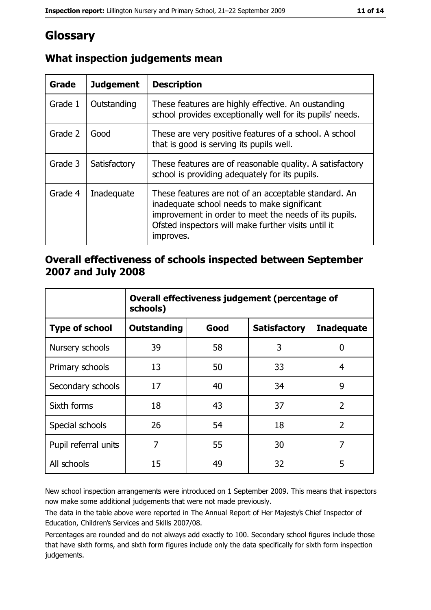# Glossary

| <b>Grade</b> | <b>Judgement</b> | <b>Description</b>                                                                                                                                                                                                               |  |
|--------------|------------------|----------------------------------------------------------------------------------------------------------------------------------------------------------------------------------------------------------------------------------|--|
| Grade 1      | Outstanding      | These features are highly effective. An oustanding<br>school provides exceptionally well for its pupils' needs.                                                                                                                  |  |
| Grade 2      | Good             | These are very positive features of a school. A school<br>that is good is serving its pupils well.                                                                                                                               |  |
| Grade 3      | Satisfactory     | These features are of reasonable quality. A satisfactory<br>school is providing adequately for its pupils.                                                                                                                       |  |
| Grade 4      | Inadequate       | These features are not of an acceptable standard. An<br>inadequate school needs to make significant<br>improvement in order to meet the needs of its pupils.<br>Ofsted inspectors will make further visits until it<br>improves. |  |

## What inspection judgements mean

### Overall effectiveness of schools inspected between September 2007 and July 2008

|                       | Overall effectiveness judgement (percentage of<br>schools) |      |                     |                   |
|-----------------------|------------------------------------------------------------|------|---------------------|-------------------|
| <b>Type of school</b> | Outstanding                                                | Good | <b>Satisfactory</b> | <b>Inadequate</b> |
| Nursery schools       | 39                                                         | 58   | 3                   | 0                 |
| Primary schools       | 13                                                         | 50   | 33                  | 4                 |
| Secondary schools     | 17                                                         | 40   | 34                  | 9                 |
| Sixth forms           | 18                                                         | 43   | 37                  | $\overline{2}$    |
| Special schools       | 26                                                         | 54   | 18                  | $\overline{2}$    |
| Pupil referral units  | 7                                                          | 55   | 30                  | 7                 |
| All schools           | 15                                                         | 49   | 32                  | 5                 |

New school inspection arrangements were introduced on 1 September 2009. This means that inspectors now make some additional judgements that were not made previously.

The data in the table above were reported in The Annual Report of Her Majesty's Chief Inspector of Education, Children's Services and Skills 2007/08.

Percentages are rounded and do not always add exactly to 100. Secondary school figures include those that have sixth forms, and sixth form figures include only the data specifically for sixth form inspection judgements.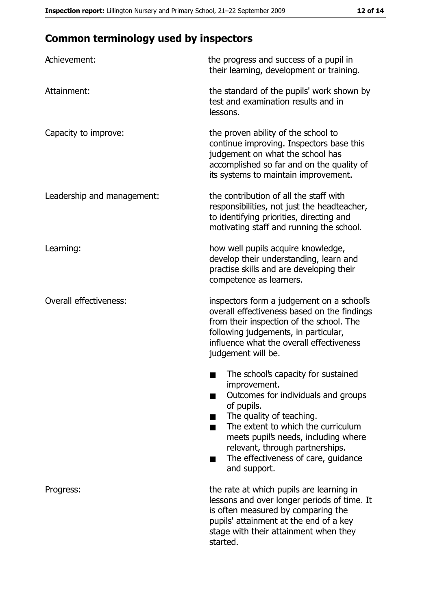# **Common terminology used by inspectors**

| Achievement:                  | the progress and success of a pupil in<br>their learning, development or training.                                                                                                                                                                                                                           |
|-------------------------------|--------------------------------------------------------------------------------------------------------------------------------------------------------------------------------------------------------------------------------------------------------------------------------------------------------------|
| Attainment:                   | the standard of the pupils' work shown by<br>test and examination results and in<br>lessons.                                                                                                                                                                                                                 |
| Capacity to improve:          | the proven ability of the school to<br>continue improving. Inspectors base this<br>judgement on what the school has<br>accomplished so far and on the quality of<br>its systems to maintain improvement.                                                                                                     |
| Leadership and management:    | the contribution of all the staff with<br>responsibilities, not just the headteacher,<br>to identifying priorities, directing and<br>motivating staff and running the school.                                                                                                                                |
| Learning:                     | how well pupils acquire knowledge,<br>develop their understanding, learn and<br>practise skills and are developing their<br>competence as learners.                                                                                                                                                          |
| <b>Overall effectiveness:</b> | inspectors form a judgement on a school's<br>overall effectiveness based on the findings<br>from their inspection of the school. The<br>following judgements, in particular,<br>influence what the overall effectiveness<br>judgement will be.                                                               |
|                               | The school's capacity for sustained<br>improvement.<br>Outcomes for individuals and groups<br>of pupils.<br>The quality of teaching.<br>The extent to which the curriculum<br>meets pupil's needs, including where<br>relevant, through partnerships.<br>The effectiveness of care, guidance<br>and support. |
| Progress:                     | the rate at which pupils are learning in<br>lessons and over longer periods of time. It<br>is often measured by comparing the<br>pupils' attainment at the end of a key<br>stage with their attainment when they<br>started.                                                                                 |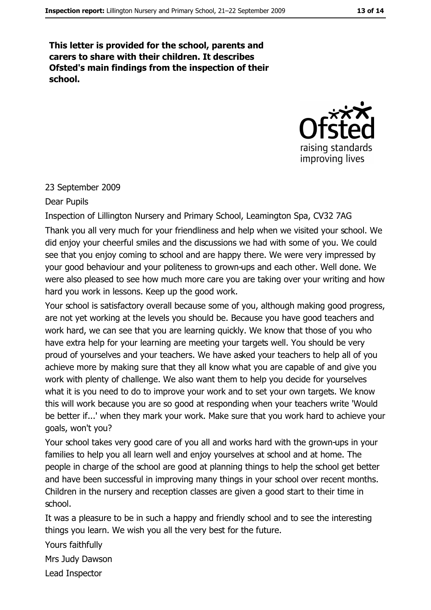This letter is provided for the school, parents and carers to share with their children. It describes Ofsted's main findings from the inspection of their school.



#### 23 September 2009

#### Dear Pupils

Inspection of Lillington Nursery and Primary School, Leamington Spa, CV32 7AG Thank you all very much for your friendliness and help when we visited your school. We did enjoy your cheerful smiles and the discussions we had with some of you. We could see that you enjoy coming to school and are happy there. We were very impressed by your good behaviour and your politeness to grown-ups and each other. Well done. We were also pleased to see how much more care you are taking over your writing and how hard you work in lessons. Keep up the good work.

Your school is satisfactory overall because some of you, although making good progress, are not yet working at the levels you should be. Because you have good teachers and work hard, we can see that you are learning quickly. We know that those of you who have extra help for your learning are meeting your targets well. You should be very proud of yourselves and your teachers. We have asked your teachers to help all of you achieve more by making sure that they all know what you are capable of and give you work with plenty of challenge. We also want them to help you decide for yourselves what it is you need to do to improve your work and to set your own targets. We know this will work because you are so good at responding when your teachers write 'Would be better if...' when they mark your work. Make sure that you work hard to achieve your goals, won't you?

Your school takes very good care of you all and works hard with the grown-ups in your families to help you all learn well and enjoy yourselves at school and at home. The people in charge of the school are good at planning things to help the school get better and have been successful in improving many things in your school over recent months. Children in the nursery and reception classes are given a good start to their time in school.

It was a pleasure to be in such a happy and friendly school and to see the interesting things you learn. We wish you all the very best for the future.

Yours faithfully

Mrs Judy Dawson Lead Inspector